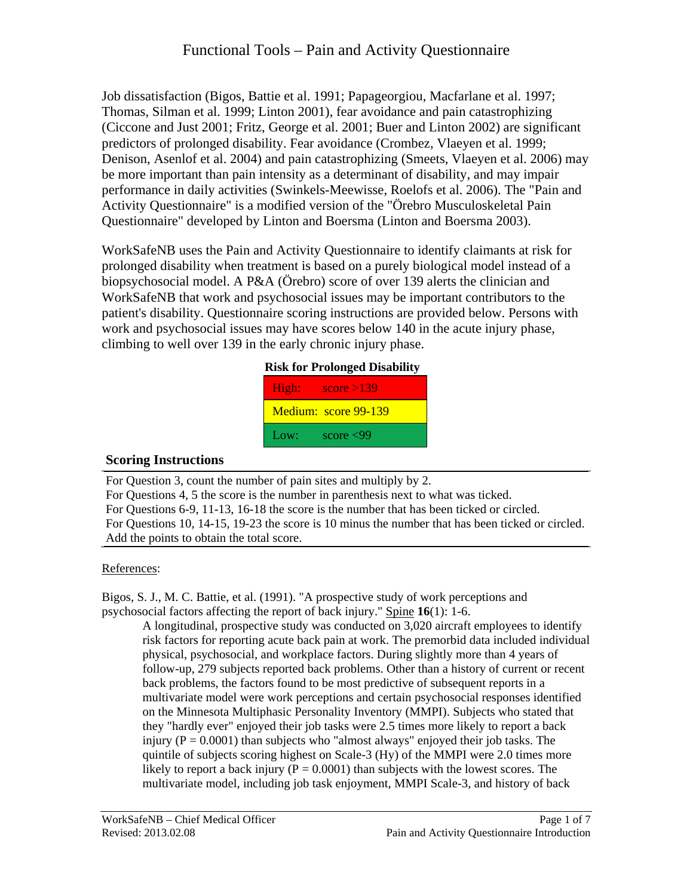Job dissatisfaction (Bigos, Battie et al. 1991; Papageorgiou, Macfarlane et al. 1997; Thomas, Silman et al. 1999; Linton 2001), fear avoidance and pain catastrophizing (Ciccone and Just 2001; Fritz, George et al. 2001; Buer and Linton 2002) are significant predictors of prolonged disability. Fear avoidance (Crombez, Vlaeyen et al. 1999; Denison, Asenlof et al. 2004) and pain catastrophizing (Smeets, Vlaeyen et al. 2006) may be more important than pain intensity as a determinant of disability, and may impair performance in daily activities (Swinkels-Meewisse, Roelofs et al. 2006). The "Pain and Activity Questionnaire" is a modified version of the "Örebro Musculoskeletal Pain Questionnaire" developed by Linton and Boersma (Linton and Boersma 2003).

WorkSafeNB uses the Pain and Activity Questionnaire to identify claimants at risk for prolonged disability when treatment is based on a purely biological model instead of a biopsychosocial model. A P&A (Örebro) score of over 139 alerts the clinician and WorkSafeNB that work and psychosocial issues may be important contributors to the patient's disability. Questionnaire scoring instructions are provided below. Persons with work and psychosocial issues may have scores below 140 in the acute injury phase, climbing to well over 139 in the early chronic injury phase.

| <b>Risk for Prolonged Disability</b> |                      |
|--------------------------------------|----------------------|
| High:                                | score $>139$         |
|                                      | Medium: score 99-139 |
|                                      | Low: $\sec 99$       |
|                                      |                      |

## **Scoring Instructions**

For Question 3, count the number of pain sites and multiply by 2.

For Questions 4, 5 the score is the number in parenthesis next to what was ticked. For Questions 6-9, 11-13, 16-18 the score is the number that has been ticked or circled. For Questions 10, 14-15, 19-23 the score is 10 minus the number that has been ticked or circled. Add the points to obtain the total score.

#### References:

Bigos, S. J., M. C. Battie, et al. (1991). "A prospective study of work perceptions and psychosocial factors affecting the report of back injury." Spine **16**(1): 1-6.

 A longitudinal, prospective study was conducted on 3,020 aircraft employees to identify risk factors for reporting acute back pain at work. The premorbid data included individual physical, psychosocial, and workplace factors. During slightly more than 4 years of follow-up, 279 subjects reported back problems. Other than a history of current or recent back problems, the factors found to be most predictive of subsequent reports in a multivariate model were work perceptions and certain psychosocial responses identified on the Minnesota Multiphasic Personality Inventory (MMPI). Subjects who stated that they "hardly ever" enjoyed their job tasks were 2.5 times more likely to report a back injury ( $P = 0.0001$ ) than subjects who "almost always" enjoyed their job tasks. The quintile of subjects scoring highest on Scale-3 (Hy) of the MMPI were 2.0 times more likely to report a back injury ( $P = 0.0001$ ) than subjects with the lowest scores. The multivariate model, including job task enjoyment, MMPI Scale-3, and history of back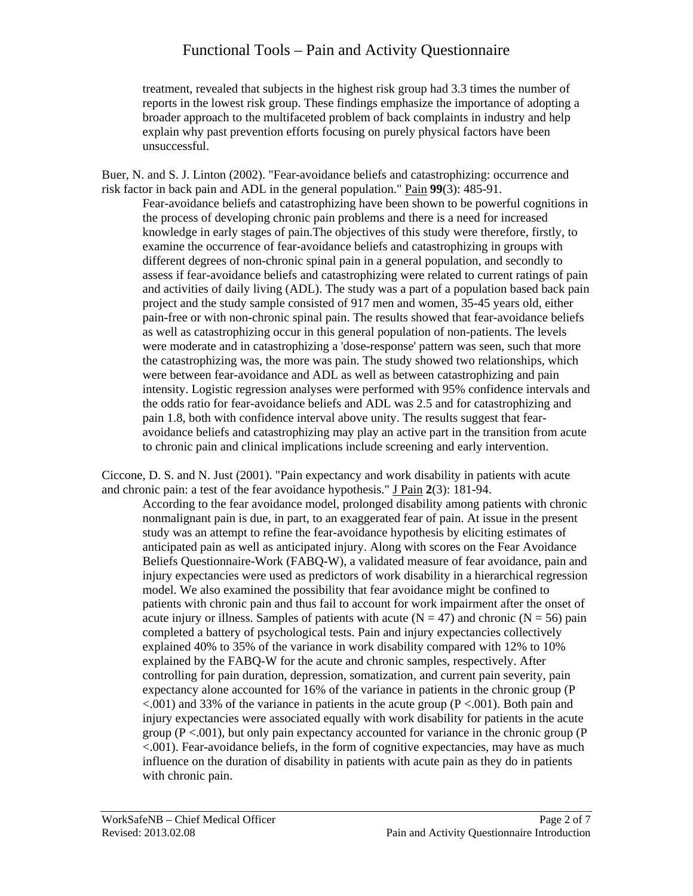treatment, revealed that subjects in the highest risk group had 3.3 times the number of reports in the lowest risk group. These findings emphasize the importance of adopting a broader approach to the multifaceted problem of back complaints in industry and help explain why past prevention efforts focusing on purely physical factors have been unsuccessful.

Buer, N. and S. J. Linton (2002). "Fear-avoidance beliefs and catastrophizing: occurrence and risk factor in back pain and ADL in the general population." Pain **99**(3): 485-91.

 Fear-avoidance beliefs and catastrophizing have been shown to be powerful cognitions in the process of developing chronic pain problems and there is a need for increased knowledge in early stages of pain.The objectives of this study were therefore, firstly, to examine the occurrence of fear-avoidance beliefs and catastrophizing in groups with different degrees of non-chronic spinal pain in a general population, and secondly to assess if fear-avoidance beliefs and catastrophizing were related to current ratings of pain and activities of daily living (ADL). The study was a part of a population based back pain project and the study sample consisted of 917 men and women, 35-45 years old, either pain-free or with non-chronic spinal pain. The results showed that fear-avoidance beliefs as well as catastrophizing occur in this general population of non-patients. The levels were moderate and in catastrophizing a 'dose-response' pattern was seen, such that more the catastrophizing was, the more was pain. The study showed two relationships, which were between fear-avoidance and ADL as well as between catastrophizing and pain intensity. Logistic regression analyses were performed with 95% confidence intervals and the odds ratio for fear-avoidance beliefs and ADL was 2.5 and for catastrophizing and pain 1.8, both with confidence interval above unity. The results suggest that fearavoidance beliefs and catastrophizing may play an active part in the transition from acute to chronic pain and clinical implications include screening and early intervention.

Ciccone, D. S. and N. Just (2001). "Pain expectancy and work disability in patients with acute and chronic pain: a test of the fear avoidance hypothesis." J Pain **2**(3): 181-94.

 According to the fear avoidance model, prolonged disability among patients with chronic nonmalignant pain is due, in part, to an exaggerated fear of pain. At issue in the present study was an attempt to refine the fear-avoidance hypothesis by eliciting estimates of anticipated pain as well as anticipated injury. Along with scores on the Fear Avoidance Beliefs Questionnaire-Work (FABQ-W), a validated measure of fear avoidance, pain and injury expectancies were used as predictors of work disability in a hierarchical regression model. We also examined the possibility that fear avoidance might be confined to patients with chronic pain and thus fail to account for work impairment after the onset of acute injury or illness. Samples of patients with acute ( $N = 47$ ) and chronic ( $N = 56$ ) pain completed a battery of psychological tests. Pain and injury expectancies collectively explained 40% to 35% of the variance in work disability compared with 12% to 10% explained by the FABQ-W for the acute and chronic samples, respectively. After controlling for pain duration, depression, somatization, and current pain severity, pain expectancy alone accounted for 16% of the variance in patients in the chronic group (P  $\langle 0.001 \rangle$  and 33% of the variance in patients in the acute group (P  $\langle 0.001 \rangle$ ). Both pain and injury expectancies were associated equally with work disability for patients in the acute group  $(P < .001)$ , but only pain expectancy accounted for variance in the chronic group  $(P)$ <.001). Fear-avoidance beliefs, in the form of cognitive expectancies, may have as much influence on the duration of disability in patients with acute pain as they do in patients with chronic pain.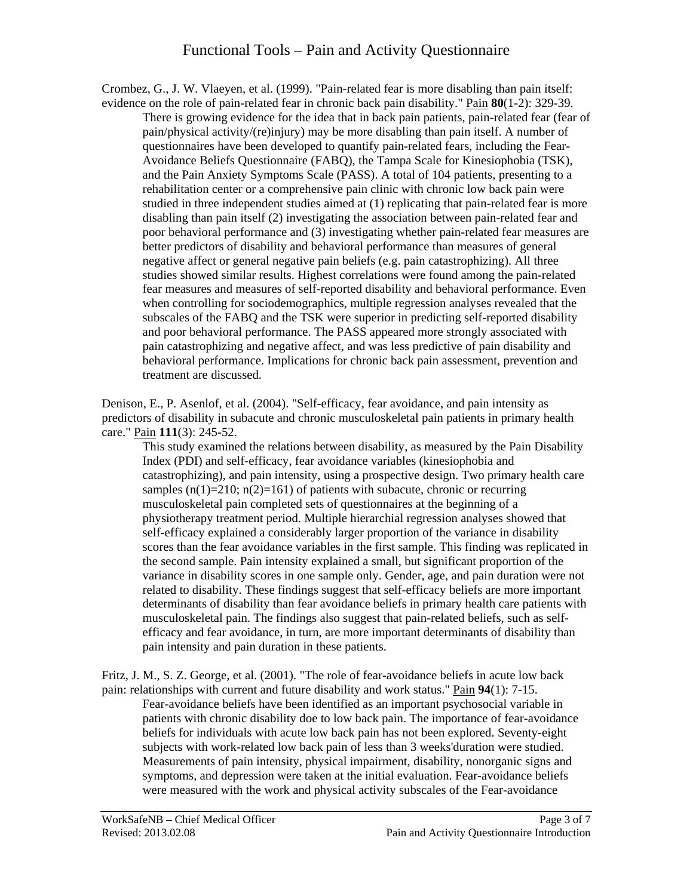Crombez, G., J. W. Vlaeyen, et al. (1999). "Pain-related fear is more disabling than pain itself: evidence on the role of pain-related fear in chronic back pain disability." Pain **80**(1-2): 329-39.

 There is growing evidence for the idea that in back pain patients, pain-related fear (fear of pain/physical activity/(re)injury) may be more disabling than pain itself. A number of questionnaires have been developed to quantify pain-related fears, including the Fear-Avoidance Beliefs Questionnaire (FABQ), the Tampa Scale for Kinesiophobia (TSK), and the Pain Anxiety Symptoms Scale (PASS). A total of 104 patients, presenting to a rehabilitation center or a comprehensive pain clinic with chronic low back pain were studied in three independent studies aimed at (1) replicating that pain-related fear is more disabling than pain itself (2) investigating the association between pain-related fear and poor behavioral performance and (3) investigating whether pain-related fear measures are better predictors of disability and behavioral performance than measures of general negative affect or general negative pain beliefs (e.g. pain catastrophizing). All three studies showed similar results. Highest correlations were found among the pain-related fear measures and measures of self-reported disability and behavioral performance. Even when controlling for sociodemographics, multiple regression analyses revealed that the subscales of the FABQ and the TSK were superior in predicting self-reported disability and poor behavioral performance. The PASS appeared more strongly associated with pain catastrophizing and negative affect, and was less predictive of pain disability and behavioral performance. Implications for chronic back pain assessment, prevention and treatment are discussed.

Denison, E., P. Asenlof, et al. (2004). "Self-efficacy, fear avoidance, and pain intensity as predictors of disability in subacute and chronic musculoskeletal pain patients in primary health care." Pain **111**(3): 245-52.

 This study examined the relations between disability, as measured by the Pain Disability Index (PDI) and self-efficacy, fear avoidance variables (kinesiophobia and catastrophizing), and pain intensity, using a prospective design. Two primary health care samples  $(n(1)=210; n(2)=161)$  of patients with subacute, chronic or recurring musculoskeletal pain completed sets of questionnaires at the beginning of a physiotherapy treatment period. Multiple hierarchial regression analyses showed that self-efficacy explained a considerably larger proportion of the variance in disability scores than the fear avoidance variables in the first sample. This finding was replicated in the second sample. Pain intensity explained a small, but significant proportion of the variance in disability scores in one sample only. Gender, age, and pain duration were not related to disability. These findings suggest that self-efficacy beliefs are more important determinants of disability than fear avoidance beliefs in primary health care patients with musculoskeletal pain. The findings also suggest that pain-related beliefs, such as selfefficacy and fear avoidance, in turn, are more important determinants of disability than pain intensity and pain duration in these patients.

Fritz, J. M., S. Z. George, et al. (2001). "The role of fear-avoidance beliefs in acute low back pain: relationships with current and future disability and work status." Pain **94**(1): 7-15. Fear-avoidance beliefs have been identified as an important psychosocial variable in patients with chronic disability doe to low back pain. The importance of fear-avoidance beliefs for individuals with acute low back pain has not been explored. Seventy-eight subjects with work-related low back pain of less than 3 weeks'duration were studied. Measurements of pain intensity, physical impairment, disability, nonorganic signs and symptoms, and depression were taken at the initial evaluation. Fear-avoidance beliefs were measured with the work and physical activity subscales of the Fear-avoidance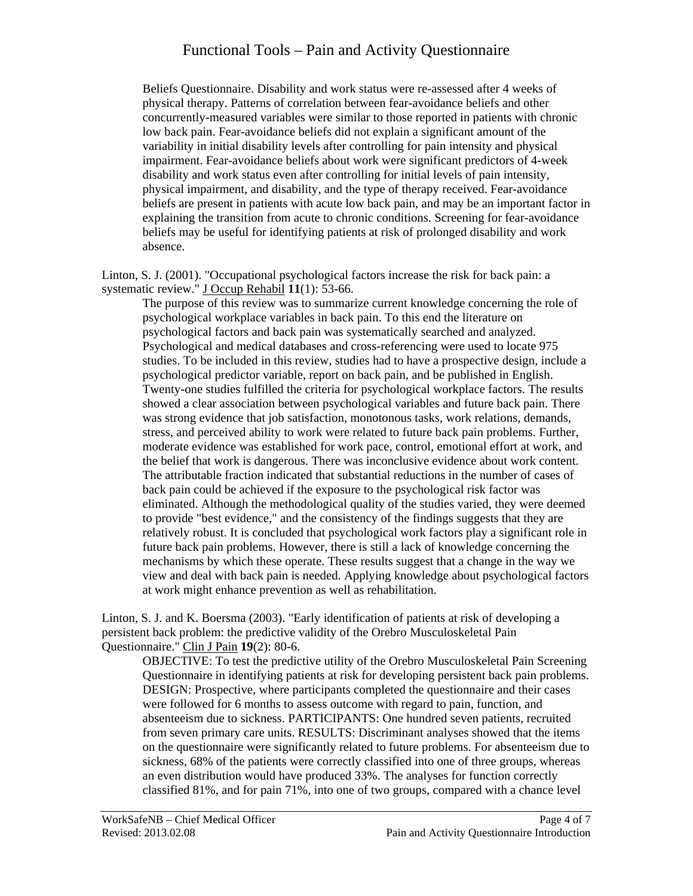Beliefs Questionnaire. Disability and work status were re-assessed after 4 weeks of physical therapy. Patterns of correlation between fear-avoidance beliefs and other concurrently-measured variables were similar to those reported in patients with chronic low back pain. Fear-avoidance beliefs did not explain a significant amount of the variability in initial disability levels after controlling for pain intensity and physical impairment. Fear-avoidance beliefs about work were significant predictors of 4-week disability and work status even after controlling for initial levels of pain intensity, physical impairment, and disability, and the type of therapy received. Fear-avoidance beliefs are present in patients with acute low back pain, and may be an important factor in explaining the transition from acute to chronic conditions. Screening for fear-avoidance beliefs may be useful for identifying patients at risk of prolonged disability and work absence.

Linton, S. J. (2001). "Occupational psychological factors increase the risk for back pain: a systematic review." J Occup Rehabil **11**(1): 53-66.

 The purpose of this review was to summarize current knowledge concerning the role of psychological workplace variables in back pain. To this end the literature on psychological factors and back pain was systematically searched and analyzed. Psychological and medical databases and cross-referencing were used to locate 975 studies. To be included in this review, studies had to have a prospective design, include a psychological predictor variable, report on back pain, and be published in English. Twenty-one studies fulfilled the criteria for psychological workplace factors. The results showed a clear association between psychological variables and future back pain. There was strong evidence that job satisfaction, monotonous tasks, work relations, demands, stress, and perceived ability to work were related to future back pain problems. Further, moderate evidence was established for work pace, control, emotional effort at work, and the belief that work is dangerous. There was inconclusive evidence about work content. The attributable fraction indicated that substantial reductions in the number of cases of back pain could be achieved if the exposure to the psychological risk factor was eliminated. Although the methodological quality of the studies varied, they were deemed to provide "best evidence," and the consistency of the findings suggests that they are relatively robust. It is concluded that psychological work factors play a significant role in future back pain problems. However, there is still a lack of knowledge concerning the mechanisms by which these operate. These results suggest that a change in the way we view and deal with back pain is needed. Applying knowledge about psychological factors at work might enhance prevention as well as rehabilitation.

Linton, S. J. and K. Boersma (2003). "Early identification of patients at risk of developing a persistent back problem: the predictive validity of the Orebro Musculoskeletal Pain Questionnaire." Clin J Pain **19**(2): 80-6.

 OBJECTIVE: To test the predictive utility of the Orebro Musculoskeletal Pain Screening Questionnaire in identifying patients at risk for developing persistent back pain problems. DESIGN: Prospective, where participants completed the questionnaire and their cases were followed for 6 months to assess outcome with regard to pain, function, and absenteeism due to sickness. PARTICIPANTS: One hundred seven patients, recruited from seven primary care units. RESULTS: Discriminant analyses showed that the items on the questionnaire were significantly related to future problems. For absenteeism due to sickness, 68% of the patients were correctly classified into one of three groups, whereas an even distribution would have produced 33%. The analyses for function correctly classified 81%, and for pain 71%, into one of two groups, compared with a chance level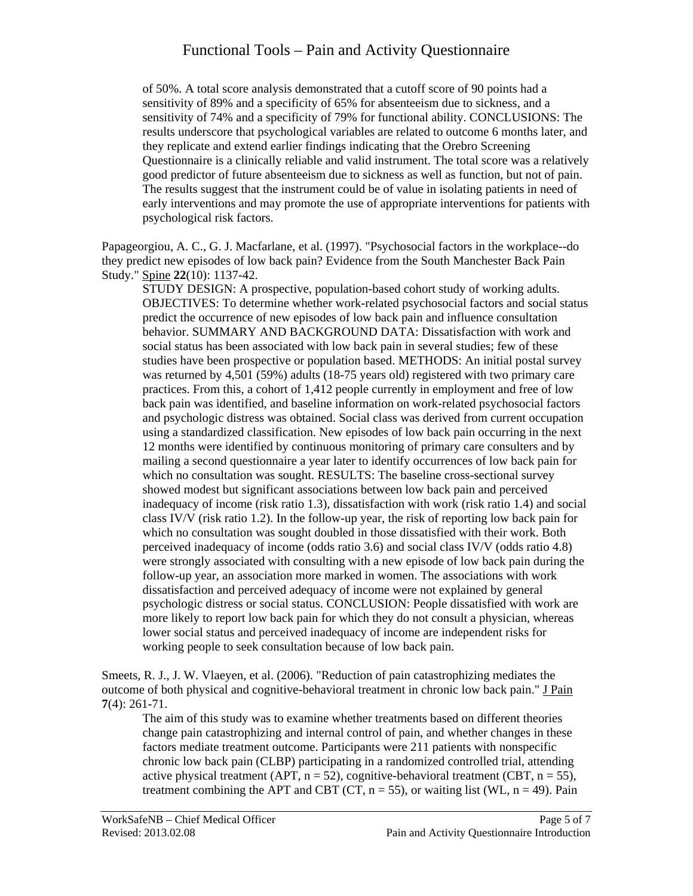of 50%. A total score analysis demonstrated that a cutoff score of 90 points had a sensitivity of 89% and a specificity of 65% for absenteeism due to sickness, and a sensitivity of 74% and a specificity of 79% for functional ability. CONCLUSIONS: The results underscore that psychological variables are related to outcome 6 months later, and they replicate and extend earlier findings indicating that the Orebro Screening Questionnaire is a clinically reliable and valid instrument. The total score was a relatively good predictor of future absenteeism due to sickness as well as function, but not of pain. The results suggest that the instrument could be of value in isolating patients in need of early interventions and may promote the use of appropriate interventions for patients with psychological risk factors.

Papageorgiou, A. C., G. J. Macfarlane, et al. (1997). "Psychosocial factors in the workplace--do they predict new episodes of low back pain? Evidence from the South Manchester Back Pain Study." Spine **22**(10): 1137-42.

 STUDY DESIGN: A prospective, population-based cohort study of working adults. OBJECTIVES: To determine whether work-related psychosocial factors and social status predict the occurrence of new episodes of low back pain and influence consultation behavior. SUMMARY AND BACKGROUND DATA: Dissatisfaction with work and social status has been associated with low back pain in several studies; few of these studies have been prospective or population based. METHODS: An initial postal survey was returned by 4,501 (59%) adults (18-75 years old) registered with two primary care practices. From this, a cohort of 1,412 people currently in employment and free of low back pain was identified, and baseline information on work-related psychosocial factors and psychologic distress was obtained. Social class was derived from current occupation using a standardized classification. New episodes of low back pain occurring in the next 12 months were identified by continuous monitoring of primary care consulters and by mailing a second questionnaire a year later to identify occurrences of low back pain for which no consultation was sought. RESULTS: The baseline cross-sectional survey showed modest but significant associations between low back pain and perceived inadequacy of income (risk ratio 1.3), dissatisfaction with work (risk ratio 1.4) and social class IV/V (risk ratio 1.2). In the follow-up year, the risk of reporting low back pain for which no consultation was sought doubled in those dissatisfied with their work. Both perceived inadequacy of income (odds ratio 3.6) and social class IV/V (odds ratio 4.8) were strongly associated with consulting with a new episode of low back pain during the follow-up year, an association more marked in women. The associations with work dissatisfaction and perceived adequacy of income were not explained by general psychologic distress or social status. CONCLUSION: People dissatisfied with work are more likely to report low back pain for which they do not consult a physician, whereas lower social status and perceived inadequacy of income are independent risks for working people to seek consultation because of low back pain.

Smeets, R. J., J. W. Vlaeyen, et al. (2006). "Reduction of pain catastrophizing mediates the outcome of both physical and cognitive-behavioral treatment in chronic low back pain." J Pain **7**(4): 261-71.

 The aim of this study was to examine whether treatments based on different theories change pain catastrophizing and internal control of pain, and whether changes in these factors mediate treatment outcome. Participants were 211 patients with nonspecific chronic low back pain (CLBP) participating in a randomized controlled trial, attending active physical treatment (APT,  $n = 52$ ), cognitive-behavioral treatment (CBT,  $n = 55$ ), treatment combining the APT and CBT (CT,  $n = 55$ ), or waiting list (WL,  $n = 49$ ). Pain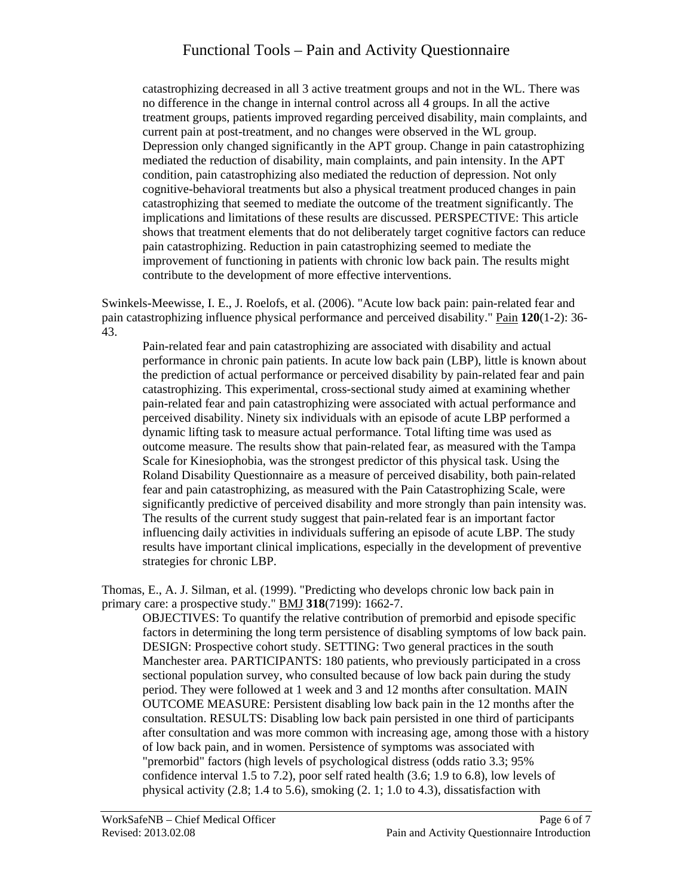catastrophizing decreased in all 3 active treatment groups and not in the WL. There was no difference in the change in internal control across all 4 groups. In all the active treatment groups, patients improved regarding perceived disability, main complaints, and current pain at post-treatment, and no changes were observed in the WL group. Depression only changed significantly in the APT group. Change in pain catastrophizing mediated the reduction of disability, main complaints, and pain intensity. In the APT condition, pain catastrophizing also mediated the reduction of depression. Not only cognitive-behavioral treatments but also a physical treatment produced changes in pain catastrophizing that seemed to mediate the outcome of the treatment significantly. The implications and limitations of these results are discussed. PERSPECTIVE: This article shows that treatment elements that do not deliberately target cognitive factors can reduce pain catastrophizing. Reduction in pain catastrophizing seemed to mediate the improvement of functioning in patients with chronic low back pain. The results might contribute to the development of more effective interventions.

Swinkels-Meewisse, I. E., J. Roelofs, et al. (2006). "Acute low back pain: pain-related fear and pain catastrophizing influence physical performance and perceived disability." Pain **120**(1-2): 36- 43.

 Pain-related fear and pain catastrophizing are associated with disability and actual performance in chronic pain patients. In acute low back pain (LBP), little is known about the prediction of actual performance or perceived disability by pain-related fear and pain catastrophizing. This experimental, cross-sectional study aimed at examining whether pain-related fear and pain catastrophizing were associated with actual performance and perceived disability. Ninety six individuals with an episode of acute LBP performed a dynamic lifting task to measure actual performance. Total lifting time was used as outcome measure. The results show that pain-related fear, as measured with the Tampa Scale for Kinesiophobia, was the strongest predictor of this physical task. Using the Roland Disability Questionnaire as a measure of perceived disability, both pain-related fear and pain catastrophizing, as measured with the Pain Catastrophizing Scale, were significantly predictive of perceived disability and more strongly than pain intensity was. The results of the current study suggest that pain-related fear is an important factor influencing daily activities in individuals suffering an episode of acute LBP. The study results have important clinical implications, especially in the development of preventive strategies for chronic LBP.

Thomas, E., A. J. Silman, et al. (1999). "Predicting who develops chronic low back pain in primary care: a prospective study." BMJ **318**(7199): 1662-7.

 OBJECTIVES: To quantify the relative contribution of premorbid and episode specific factors in determining the long term persistence of disabling symptoms of low back pain. DESIGN: Prospective cohort study. SETTING: Two general practices in the south Manchester area. PARTICIPANTS: 180 patients, who previously participated in a cross sectional population survey, who consulted because of low back pain during the study period. They were followed at 1 week and 3 and 12 months after consultation. MAIN OUTCOME MEASURE: Persistent disabling low back pain in the 12 months after the consultation. RESULTS: Disabling low back pain persisted in one third of participants after consultation and was more common with increasing age, among those with a history of low back pain, and in women. Persistence of symptoms was associated with "premorbid" factors (high levels of psychological distress (odds ratio 3.3; 95% confidence interval 1.5 to 7.2), poor self rated health (3.6; 1.9 to 6.8), low levels of physical activity (2.8; 1.4 to 5.6), smoking (2. 1; 1.0 to 4.3), dissatisfaction with